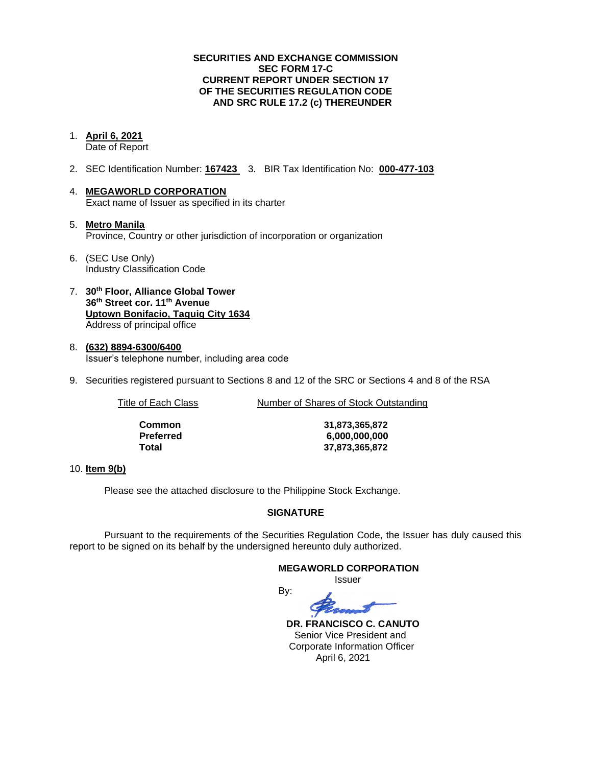### **SECURITIES AND EXCHANGE COMMISSION SEC FORM 17-C CURRENT REPORT UNDER SECTION 17 OF THE SECURITIES REGULATION CODE AND SRC RULE 17.2 (c) THEREUNDER**

1. **April 6, 2021**

Date of Report

- 2. SEC Identification Number: **167423** 3. BIR Tax Identification No: **000-477-103**
- 4. **MEGAWORLD CORPORATION** Exact name of Issuer as specified in its charter
- 5. **Metro Manila** Province, Country or other jurisdiction of incorporation or organization
- 6. (SEC Use Only) Industry Classification Code
- 7. **30th Floor, Alliance Global Tower 36th Street cor. 11th Avenue Uptown Bonifacio, Taguig City 1634** Address of principal office
- 8. **(632) 8894-6300/6400** Issuer's telephone number, including area code
- 9. Securities registered pursuant to Sections 8 and 12 of the SRC or Sections 4 and 8 of the RSA

Title of Each Class Number of Shares of Stock Outstanding

| Common    | 31,873,365,872 |
|-----------|----------------|
| Preferred | 6,000,000,000  |
| Total     | 37,873,365,872 |

### 10. **Item 9(b)**

Please see the attached disclosure to the Philippine Stock Exchange.

### **SIGNATURE**

Pursuant to the requirements of the Securities Regulation Code, the Issuer has duly caused this report to be signed on its behalf by the undersigned hereunto duly authorized.

#### **MEGAWORLD CORPORATION**

Issuer

By:

 **DR. FRANCISCO C. CANUTO** Senior Vice President and Corporate Information Officer April 6, 2021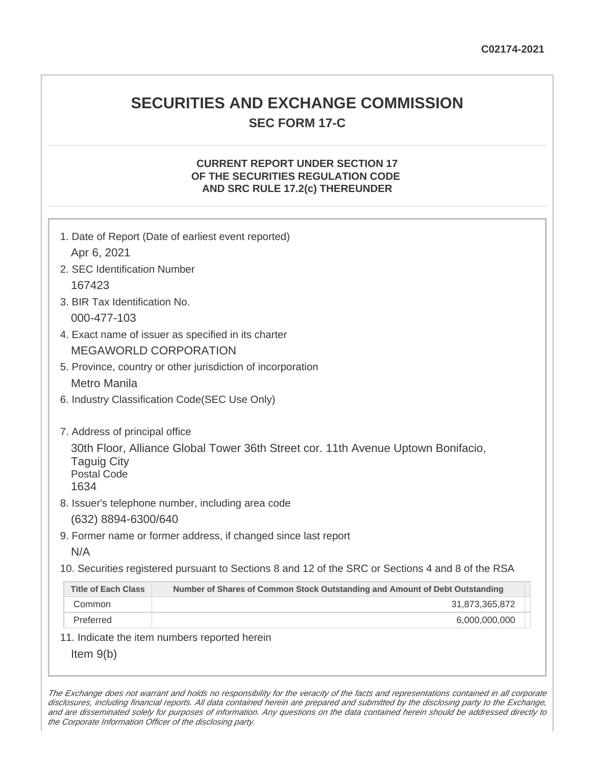# **SECURITIES AND EXCHANGE COMMISSION SEC FORM 17-C**

## **CURRENT REPORT UNDER SECTION 17 OF THE SECURITIES REGULATION CODE AND SRC RULE 17.2(c) THEREUNDER**

| Apr 6, 2021                                                                        | 1. Date of Report (Date of earliest event reported)                                                                                   |
|------------------------------------------------------------------------------------|---------------------------------------------------------------------------------------------------------------------------------------|
| 2. SEC Identification Number                                                       |                                                                                                                                       |
| 167423                                                                             |                                                                                                                                       |
| 3. BIR Tax Identification No.                                                      |                                                                                                                                       |
| 000-477-103                                                                        |                                                                                                                                       |
|                                                                                    | 4. Exact name of issuer as specified in its charter                                                                                   |
|                                                                                    | <b>MEGAWORLD CORPORATION</b>                                                                                                          |
|                                                                                    | 5. Province, country or other jurisdiction of incorporation                                                                           |
| <b>Metro Manila</b>                                                                |                                                                                                                                       |
|                                                                                    | 6. Industry Classification Code(SEC Use Only)                                                                                         |
| 7. Address of principal office<br><b>Taguig City</b><br><b>Postal Code</b><br>1634 | 30th Floor, Alliance Global Tower 36th Street cor. 11th Avenue Uptown Bonifacio,<br>8. Issuer's telephone number, including area code |
| (632) 8894-6300/640                                                                |                                                                                                                                       |
|                                                                                    | 9. Former name or former address, if changed since last report                                                                        |
| N/A                                                                                |                                                                                                                                       |
|                                                                                    | 10. Securities registered pursuant to Sections 8 and 12 of the SRC or Sections 4 and 8 of the RSA                                     |
| <b>Title of Each Class</b>                                                         | Number of Shares of Common Stock Outstanding and Amount of Debt Outstanding                                                           |
| Common                                                                             | 31,873,365,872                                                                                                                        |
| Preferred                                                                          | 6,000,000,000                                                                                                                         |
|                                                                                    | 11. Indicate the item numbers reported herein                                                                                         |
| Item $9(b)$                                                                        |                                                                                                                                       |

The Exchange does not warrant and holds no responsibility for the veracity of the facts and representations contained in all corporate disclosures, including financial reports. All data contained herein are prepared and submitted by the disclosing party to the Exchange, and are disseminated solely for purposes of information. Any questions on the data contained herein should be addressed directly to the Corporate Information Officer of the disclosing party.